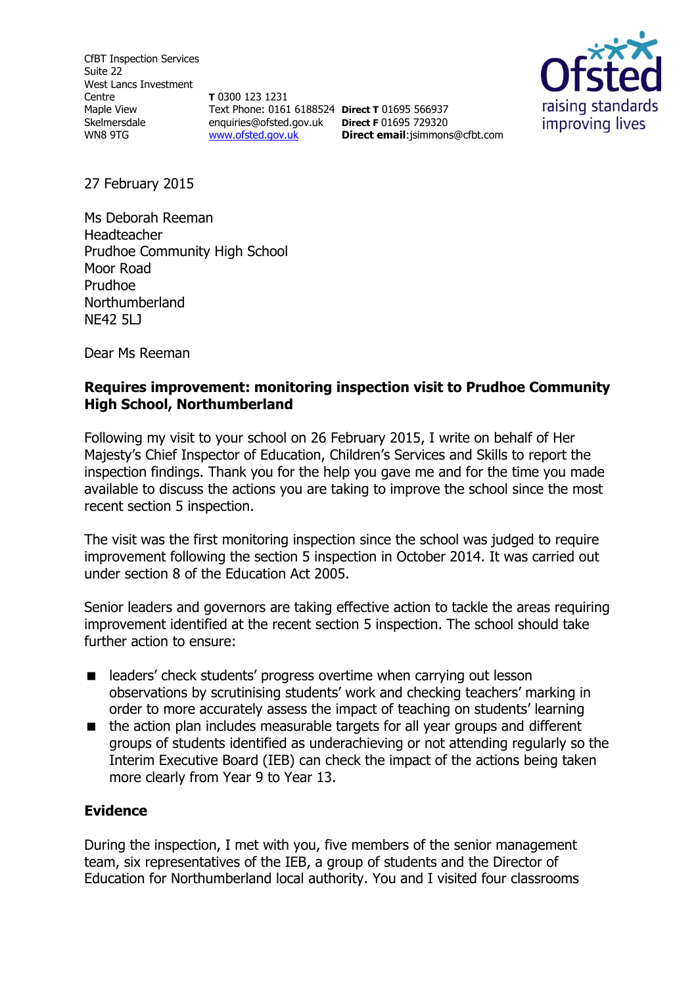CfBT Inspection Services Suite 22 West Lancs Investment Centre Maple View Skelmersdale WN8 9TG

**T** 0300 123 1231 Text Phone: 0161 6188524 **Direct T** 01695 566937 enquiries@ofsted.gov.uk **Direct F** 01695 729320 [www.ofsted.gov.uk](http://www.ofsted.gov.uk/)

**Direct email**:jsimmons@cfbt.com



27 February 2015

Ms Deborah Reeman Headteacher Prudhoe Community High School Moor Road Prudhoe Northumberland NE42 5LJ

Dear Ms Reeman

## **Requires improvement: monitoring inspection visit to Prudhoe Community High School, Northumberland**

Following my visit to your school on 26 February 2015, I write on behalf of Her Majesty's Chief Inspector of Education, Children's Services and Skills to report the inspection findings. Thank you for the help you gave me and for the time you made available to discuss the actions you are taking to improve the school since the most recent section 5 inspection.

The visit was the first monitoring inspection since the school was judged to require improvement following the section 5 inspection in October 2014. It was carried out under section 8 of the Education Act 2005.

Senior leaders and governors are taking effective action to tackle the areas requiring improvement identified at the recent section 5 inspection. The school should take further action to ensure:

- leaders' check students' progress overtime when carrying out lesson observations by scrutinising students' work and checking teachers' marking in order to more accurately assess the impact of teaching on students' learning
- the action plan includes measurable targets for all year groups and different groups of students identified as underachieving or not attending regularly so the Interim Executive Board (IEB) can check the impact of the actions being taken more clearly from Year 9 to Year 13.

### **Evidence**

During the inspection, I met with you, five members of the senior management team, six representatives of the IEB, a group of students and the Director of Education for Northumberland local authority. You and I visited four classrooms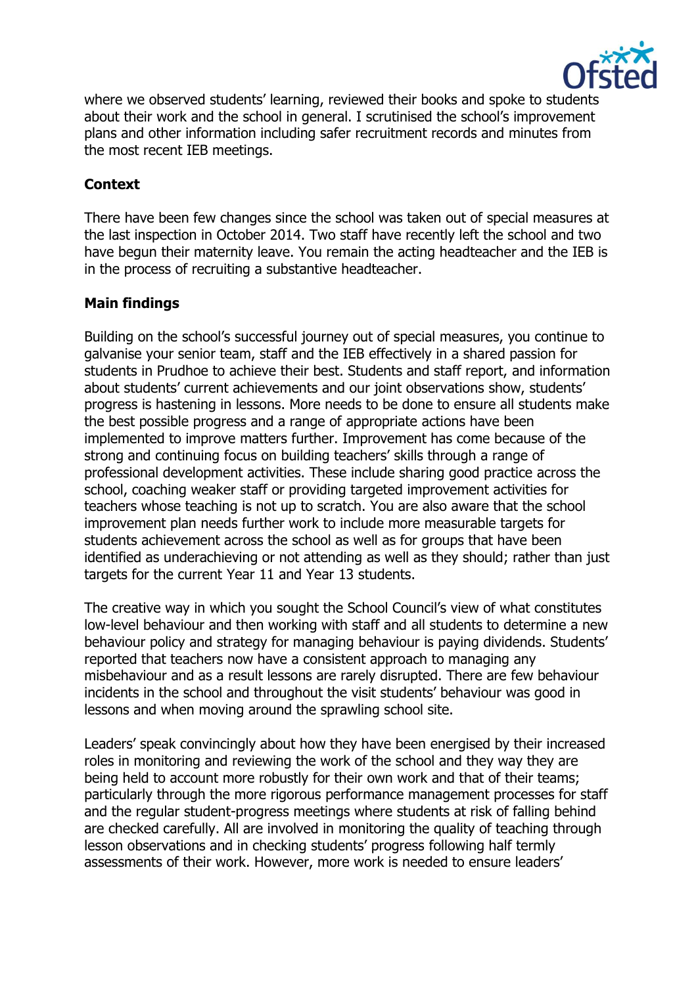

where we observed students' learning, reviewed their books and spoke to students about their work and the school in general. I scrutinised the school's improvement plans and other information including safer recruitment records and minutes from the most recent IEB meetings.

# **Context**

There have been few changes since the school was taken out of special measures at the last inspection in October 2014. Two staff have recently left the school and two have begun their maternity leave. You remain the acting headteacher and the IEB is in the process of recruiting a substantive headteacher.

# **Main findings**

Building on the school's successful journey out of special measures, you continue to galvanise your senior team, staff and the IEB effectively in a shared passion for students in Prudhoe to achieve their best. Students and staff report, and information about students' current achievements and our joint observations show, students' progress is hastening in lessons. More needs to be done to ensure all students make the best possible progress and a range of appropriate actions have been implemented to improve matters further. Improvement has come because of the strong and continuing focus on building teachers' skills through a range of professional development activities. These include sharing good practice across the school, coaching weaker staff or providing targeted improvement activities for teachers whose teaching is not up to scratch. You are also aware that the school improvement plan needs further work to include more measurable targets for students achievement across the school as well as for groups that have been identified as underachieving or not attending as well as they should; rather than just targets for the current Year 11 and Year 13 students.

The creative way in which you sought the School Council's view of what constitutes low-level behaviour and then working with staff and all students to determine a new behaviour policy and strategy for managing behaviour is paying dividends. Students' reported that teachers now have a consistent approach to managing any misbehaviour and as a result lessons are rarely disrupted. There are few behaviour incidents in the school and throughout the visit students' behaviour was good in lessons and when moving around the sprawling school site.

Leaders' speak convincingly about how they have been energised by their increased roles in monitoring and reviewing the work of the school and they way they are being held to account more robustly for their own work and that of their teams; particularly through the more rigorous performance management processes for staff and the regular student-progress meetings where students at risk of falling behind are checked carefully. All are involved in monitoring the quality of teaching through lesson observations and in checking students' progress following half termly assessments of their work. However, more work is needed to ensure leaders'